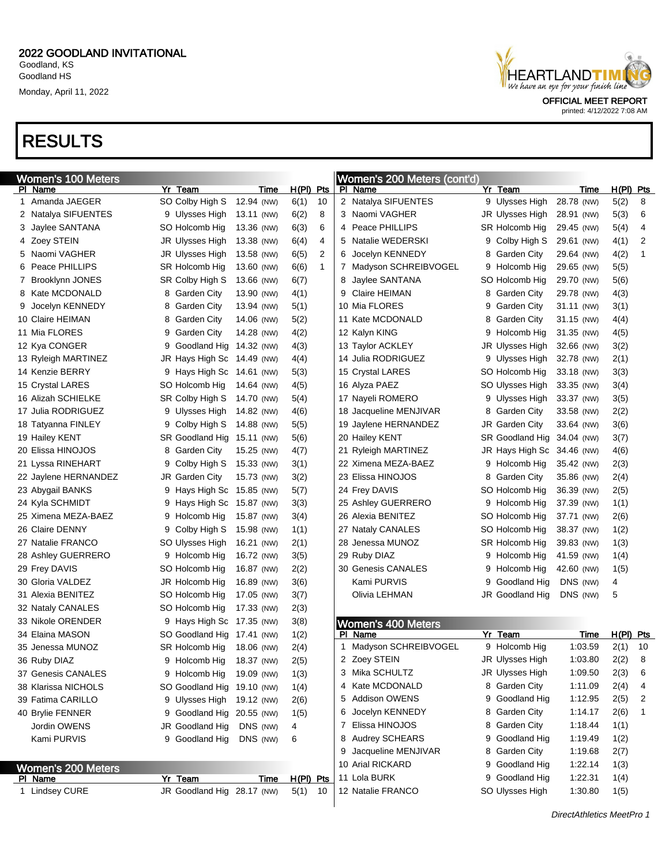

printed: 4/12/2022 7:08 AM

## RESULTS

|   | <b>Women's 100 Meters</b> |                   |                            |             |              |   | Women's 200 Meters (cont'd) |    |                            |            |             |    |
|---|---------------------------|-------------------|----------------------------|-------------|--------------|---|-----------------------------|----|----------------------------|------------|-------------|----|
|   | PI Name                   | Yr Team           | Time                       | H(PI) Pts   |              |   | PI Name                     |    | Yr Team                    | Time       | $H(PI)$ Pts |    |
|   | 1 Amanda JAEGER           | SO Colby High S   | 12.94 (NW)                 | 6(1)        | 10           |   | 2 Natalya SIFUENTES         |    | 9 Ulysses High             | 28.78 (NW) | 5(2)        | 8  |
|   | 2 Natalya SIFUENTES       | 9 Ulysses High    | 13.11 (NW)                 | 6(2)        | 8            |   | 3 Naomi VAGHER              |    | JR Ulysses High            | 28.91 (NW) | 5(3)        | 6  |
|   | 3 Jaylee SANTANA          | SO Holcomb Hig    | 13.36 (NW)                 | 6(3)        | 6            |   | 4 Peace PHILLIPS            |    | SR Holcomb Hig             | 29.45 (NW) | 5(4)        | 4  |
|   | 4 Zoey STEIN              | JR Ulysses High   | 13.38 (NW)                 | 6(4)        | 4            | 5 | Natalie WEDERSKI            | 9. | Colby High S               | 29.61 (NW) | 4(1)        | 2  |
|   | 5 Naomi VAGHER            | JR Ulysses High   | 13.58 (NW)                 | 6(5)        | 2            | 6 | Jocelyn KENNEDY             | 8  | <b>Garden City</b>         | 29.64 (NW) | 4(2)        | 1  |
|   | 6 Peace PHILLIPS          | SR Holcomb Hig    | 13.60 (NW)                 | 6(6)        | $\mathbf{1}$ |   | 7 Madyson SCHREIBVOGEL      |    | 9 Holcomb Hig              | 29.65 (NW) | 5(5)        |    |
| 7 | Brooklynn JONES           | SR Colby High S   | 13.66 (NW)                 | 6(7)        |              | 8 | Jaylee SANTANA              |    | SO Holcomb Hig             | 29.70 (NW) | 5(6)        |    |
|   | 8 Kate MCDONALD           | 8 Garden City     | 13.90 (NW)                 | 4(1)        |              |   | Claire HEIMAN               | 8  | <b>Garden City</b>         | 29.78 (NW) | 4(3)        |    |
| 9 | Jocelyn KENNEDY           | 8 Garden City     | 13.94 (NW)                 | 5(1)        |              |   | 10 Mia FLORES               | 9  | <b>Garden City</b>         | 31.11 (NW) | 3(1)        |    |
|   | 10 Claire HEIMAN          | 8 Garden City     | 14.06 (NW)                 | 5(2)        |              |   | 11 Kate MCDONALD            | 8  | <b>Garden City</b>         | 31.15 (NW) | 4(4)        |    |
|   | 11 Mia FLORES             | 9 Garden City     | 14.28 (NW)                 | 4(2)        |              |   | 12 Kalyn KING               | 9  | Holcomb Hig                | 31.35 (NW) | 4(5)        |    |
|   | 12 Kya CONGER             |                   | 9 Goodland Hig 14.32 (NW)  | 4(3)        |              |   | 13 Taylor ACKLEY            |    | JR Ulysses High            | 32.66 (NW) | 3(2)        |    |
|   | 13 Ryleigh MARTINEZ       |                   | JR Hays High Sc 14.49 (NW) | 4(4)        |              |   | 14 Julia RODRIGUEZ          |    | 9 Ulysses High             | 32.78 (NW) | 2(1)        |    |
|   | 14 Kenzie BERRY           |                   | 9 Hays High Sc 14.61 (NW)  | 5(3)        |              |   | 15 Crystal LARES            |    | SO Holcomb Hig             | 33.18 (NW) | 3(3)        |    |
|   | 15 Crystal LARES          | SO Holcomb Hig    | 14.64 (NW)                 | 4(5)        |              |   | 16 Alyza PAEZ               |    | SO Ulysses High            | 33.35 (NW) | 3(4)        |    |
|   | 16 Alizah SCHIELKE        | SR Colby High S   | 14.70 (NW)                 | 5(4)        |              |   | 17 Nayeli ROMERO            |    | 9 Ulysses High             | 33.37 (NW) | 3(5)        |    |
|   | 17 Julia RODRIGUEZ        | 9 Ulysses High    | 14.82 (NW)                 | 4(6)        |              |   | 18 Jacqueline MENJIVAR      | 8  | Garden City                | 33.58 (NW) | 2(2)        |    |
|   | 18 Tatyanna FINLEY        | 9 Colby High S    | 14.88 (NW)                 | 5(5)        |              |   | 19 Jaylene HERNANDEZ        |    | <b>JR Garden City</b>      | 33.64 (NW) | 3(6)        |    |
|   | 19 Hailey KENT            | SR Goodland Hig   | 15.11 (NW)                 | 5(6)        |              |   | 20 Hailey KENT              |    | SR Goodland Hig            | 34.04 (NW) | 3(7)        |    |
|   | 20 Elissa HINOJOS         | 8 Garden City     | 15.25 (NW)                 | 4(7)        |              |   | 21 Ryleigh MARTINEZ         |    | JR Hays High Sc 34.46 (NW) |            | 4(6)        |    |
|   | 21 Lyssa RINEHART         | Colby High S<br>9 | 15.33 (NW)                 | 3(1)        |              |   | 22 Ximena MEZA-BAEZ         |    | 9 Holcomb Hig              | 35.42 (NW) | 2(3)        |    |
|   | 22 Jaylene HERNANDEZ      | JR Garden City    | 15.73 (NW)                 | 3(2)        |              |   | 23 Elissa HINOJOS           |    | 8 Garden City              | 35.86 (NW) | 2(4)        |    |
|   | 23 Abygail BANKS          |                   | 9 Hays High Sc 15.85 (NW)  | 5(7)        |              |   | 24 Frey DAVIS               |    | SO Holcomb Hig             | 36.39 (NW) | 2(5)        |    |
|   | 24 Kyla SCHMIDT           |                   | 9 Hays High Sc 15.87 (NW)  | 3(3)        |              |   | 25 Ashley GUERRERO          |    | 9 Holcomb Hig              | 37.39 (NW) | 1(1)        |    |
|   | 25 Ximena MEZA-BAEZ       | 9 Holcomb Hig     | 15.87 (NW)                 | 3(4)        |              |   | 26 Alexia BENITEZ           |    | SO Holcomb Hig             | 37.71 (NW) | 2(6)        |    |
|   | 26 Claire DENNY           | 9 Colby High S    | 15.98 (NW)                 | 1(1)        |              |   | 27 Nataly CANALES           |    | SO Holcomb Hig             | 38.37 (NW) | 1(2)        |    |
|   | 27 Natalie FRANCO         | SO Ulysses High   | 16.21 (NW)                 | 2(1)        |              |   | 28 Jenessa MUNOZ            |    | SR Holcomb Hig             | 39.83 (NW) | 1(3)        |    |
|   | 28 Ashley GUERRERO        | 9 Holcomb Hig     | 16.72 (NW)                 | 3(5)        |              |   | 29 Ruby DIAZ                |    | 9 Holcomb Hig              | 41.59 (NW) | 1(4)        |    |
|   | 29 Frey DAVIS             | SO Holcomb Hig    | 16.87 (NW)                 | 2(2)        |              |   | 30 Genesis CANALES          |    | 9 Holcomb Hig              | 42.60 (NW) | 1(5)        |    |
|   | 30 Gloria VALDEZ          | JR Holcomb Hig    | 16.89 (NW)                 | 3(6)        |              |   | Kami PURVIS                 | 9  | Goodland Hig               | DNS (NW)   | 4           |    |
|   | 31 Alexia BENITEZ         | SO Holcomb Hig    | 17.05 (NW)                 | 3(7)        |              |   | Olivia LEHMAN               |    | JR Goodland Hig            | DNS (NW)   | 5           |    |
|   | 32 Nataly CANALES         | SO Holcomb Hig    | 17.33 (NW)                 | 2(3)        |              |   |                             |    |                            |            |             |    |
|   | 33 Nikole ORENDER         |                   | 9 Hays High Sc 17.35 (NW)  | 3(8)        |              |   | <b>Women's 400 Meters</b>   |    |                            |            |             |    |
|   | 34 Elaina MASON           |                   | SO Goodland Hig 17.41 (NW) | 1(2)        |              |   | PI Name                     |    | Yr Team                    | Time       | H(PI) Pts   |    |
|   | 35 Jenessa MUNOZ          | SR Holcomb Hig    | 18.06 (NW)                 | 2(4)        |              |   | 1 Madyson SCHREIBVOGEL      |    | 9 Holcomb Hig              | 1:03.59    | 2(1)        | 10 |
|   | 36 Ruby DIAZ              |                   | 9 Holcomb Hig 18.37 (NW)   | 2(5)        |              |   | 2 Zoey STEIN                |    | JR Ulysses High            | 1:03.80    | 2(2)        | 8  |
|   | 37 Genesis CANALES        | 9 Holcomb Hig     | 19.09 (NW)                 | 1(3)        |              |   | 3 Mika SCHULTZ              |    | JR Ulysses High            | 1:09.50    | 2(3)        | 6  |
|   | 38 Klarissa NICHOLS       |                   | SO Goodland Hig 19.10 (NW) | 1(4)        |              |   | 4 Kate MCDONALD             |    | 8 Garden City              | 1:11.09    | 2(4)        | 4  |
|   | 39 Fatima CARILLO         | 9 Ulysses High    | 19.12 (NW)                 | 2(6)        |              |   | 5 Addison OWENS             |    | 9 Goodland Hig             | 1:12.95    | 2(5)        | 2  |
|   | 40 Brylie FENNER          |                   | 9 Goodland Hig 20.55 (NW)  | 1(5)        |              |   | Jocelyn KENNEDY             |    | 8 Garden City              | 1:14.17    | 2(6)        | 1  |
|   | Jordin OWENS              | JR Goodland Hig   | DNS (NW)                   | 4           |              |   | 7 Elissa HINOJOS            |    | 8 Garden City              | 1:18.44    | 1(1)        |    |
|   | Kami PURVIS               | 9 Goodland Hig    | DNS (NW)                   | 6           |              |   | 8 Audrey SCHEARS            |    | 9 Goodland Hig             | 1:19.49    | 1(2)        |    |
|   |                           |                   |                            |             |              |   | 9 Jacqueline MENJIVAR       |    | 8 Garden City              | 1:19.68    | 2(7)        |    |
|   | Women's 200 Meters        |                   |                            |             |              |   | 10 Arial RICKARD            |    | 9 Goodland Hig             | 1:22.14    | 1(3)        |    |
|   | <b>PI Name</b>            | Yr Team           | <u>Time</u>                | $H(PI)$ Pts |              |   | 11 Lola BURK                |    | 9 Goodland Hig             | 1:22.31    | 1(4)        |    |
|   | 1 Lindsey CURE            |                   | JR Goodland Hig 28.17 (NW) | 5(1)        | 10           |   | 12 Natalie FRANCO           |    | SO Ulysses High            | 1:30.80    | 1(5)        |    |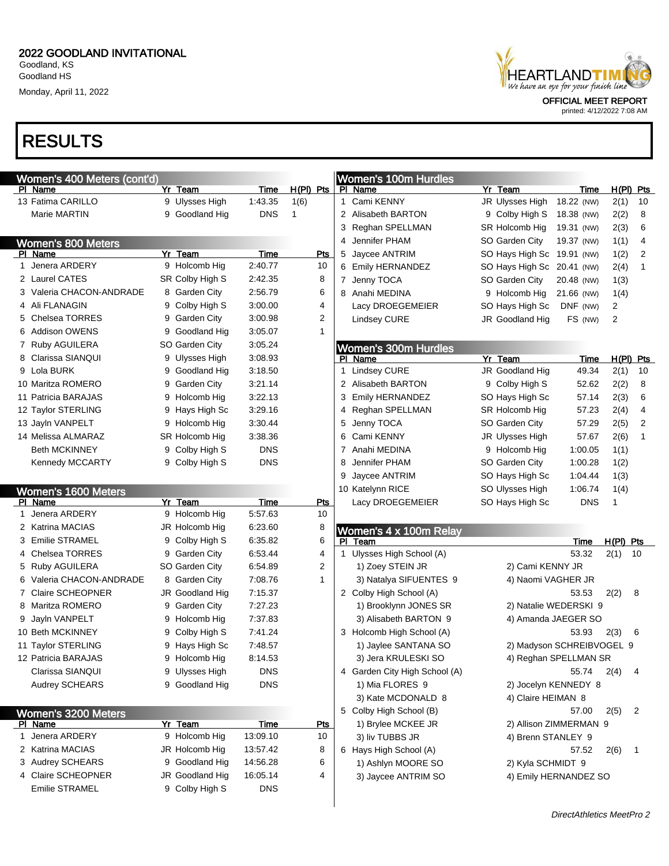# RESULTS

| HEARTLANDT I MI<br>We have an eye for your finish line |  |
|--------------------------------------------------------|--|
|                                                        |  |
| <b>OFFICIAL MEET REPORT</b>                            |  |

| Women's 400 Meters (cont'd) |                   |             |             |   | <b>Women's 100m Hurdles</b>   |                            |                       |                |              |
|-----------------------------|-------------------|-------------|-------------|---|-------------------------------|----------------------------|-----------------------|----------------|--------------|
| PI Name                     | Yr Team           | <b>Time</b> | $H(PI)$ Pts |   | PI Name                       | Yr Team                    | Time                  |                | H(PI) Pts    |
| 13 Fatima CARILLO           | 9 Ulysses High    | 1:43.35     | 1(6)        | 1 | Cami KENNY                    | JR Ulysses High            | 18.22 (NW)            | 2(1)           | 10           |
| Marie MARTIN                | 9 Goodland Hig    | <b>DNS</b>  | 1           |   | 2 Alisabeth BARTON            | 9 Colby High S             | 18.38 (NW)            | 2(2)           | 8            |
|                             |                   |             |             | 3 | Reghan SPELLMAN               | SR Holcomb Hig             | 19.31 (NW)            | 2(3)           | 6            |
| <b>Women's 800 Meters</b>   |                   |             |             | 4 | Jennifer PHAM                 | SO Garden City             | 19.37 (NW)            | 1(1)           | 4            |
| PI Name                     | Yr Team           | Time        | Pts         | 5 | Jaycee ANTRIM                 | SO Hays High Sc 19.91 (NW) |                       | 1(2)           | 2            |
| 1 Jenera ARDERY             | 9 Holcomb Hig     | 2:40.77     | 10          |   | 6 Emily HERNANDEZ             | SO Hays High Sc 20.41 (NW) |                       | 2(4)           | 1            |
| 2 Laurel CATES              | SR Colby High S   | 2:42.35     | 8           |   | 7 Jenny TOCA                  | SO Garden City             | 20.48 (NW)            | 1(3)           |              |
| 3 Valeria CHACON-ANDRADE    | 8 Garden City     | 2:56.79     | 6           |   | 8 Anahi MEDINA                | 9 Holcomb Hig              | 21.66 (NW)            | 1(4)           |              |
| 4 Ali FLANAGIN              | 9 Colby High S    | 3:00.00     | 4           |   | Lacy DROEGEMEIER              | SO Hays High Sc            | DNF (NW)              | $\overline{2}$ |              |
| 5 Chelsea TORRES            | 9 Garden City     | 3:00.98     | 2           |   | <b>Lindsey CURE</b>           | JR Goodland Hig            | FS (NW)               | 2              |              |
| 6 Addison OWENS             | Goodland Hig<br>9 | 3:05.07     | 1           |   |                               |                            |                       |                |              |
| 7 Ruby AGUILERA             | SO Garden City    | 3:05.24     |             |   | <b>Women's 300m Hurdles</b>   |                            |                       |                |              |
| 8 Clarissa SIANQUI          | 9 Ulysses High    | 3:08.93     |             |   | PI Name                       | Yr Team                    | Time                  |                | H(PI) Pts    |
| 9 Lola BURK                 | Goodland Hig<br>9 | 3:18.50     |             | 1 | <b>Lindsey CURE</b>           | JR Goodland Hig            | 49.34                 | 2(1)           | 10           |
| 10 Maritza ROMERO           | 9 Garden City     | 3:21.14     |             |   | 2 Alisabeth BARTON            | 9 Colby High S             | 52.62                 | 2(2)           | 8            |
| 11 Patricia BARAJAS         | 9 Holcomb Hig     | 3:22.13     |             | 3 | <b>Emily HERNANDEZ</b>        | SO Hays High Sc            | 57.14                 | 2(3)           | 6            |
| 12 Taylor STERLING          | Hays High Sc<br>9 | 3:29.16     |             | 4 | Reghan SPELLMAN               | SR Holcomb Hig             | 57.23                 | 2(4)           | 4            |
| 13 Jayln VANPELT            | 9 Holcomb Hig     | 3:30.44     |             | 5 | Jenny TOCA                    | SO Garden City             | 57.29                 | 2(5)           | 2            |
| 14 Melissa ALMARAZ          | SR Holcomb Hig    | 3:38.36     |             | 6 | Cami KENNY                    | JR Ulysses High            | 57.67                 | 2(6)           | 1            |
| <b>Beth MCKINNEY</b>        | 9 Colby High S    | <b>DNS</b>  |             | 7 | Anahi MEDINA                  | 9 Holcomb Hig              | 1:00.05               | 1(1)           |              |
| <b>Kennedy MCCARTY</b>      | 9 Colby High S    | <b>DNS</b>  |             | 8 | Jennifer PHAM                 | SO Garden City             | 1:00.28               | 1(2)           |              |
|                             |                   |             |             | 9 | Jaycee ANTRIM                 | SO Hays High Sc            | 1:04.44               | 1(3)           |              |
| Women's 1600 Meters         |                   |             |             |   | 10 Katelynn RICE              | SO Ulysses High            | 1:06.74               | 1(4)           |              |
| PI Name                     | Yr Team           | Time        | <u>Pts</u>  |   | Lacy DROEGEMEIER              | SO Hays High Sc            | <b>DNS</b>            | 1              |              |
| 1 Jenera ARDERY             | 9 Holcomb Hig     | 5:57.63     | 10          |   |                               |                            |                       |                |              |
| 2 Katrina MACIAS            | JR Holcomb Hig    | 6:23.60     | 8           |   | Women's 4 x 100m Relay        |                            |                       |                |              |
| 3 Emilie STRAMEL            | 9 Colby High S    | 6:35.82     | 6           |   | PI Team                       |                            | Time                  | $H(PI)$ Pts    |              |
| 4 Chelsea TORRES            | 9 Garden City     | 6:53.44     | 4           | 1 | Ulysses High School (A)       |                            | 53.32                 | 2(1)           | 10           |
| 5 Ruby AGUILERA             | SO Garden City    | 6:54.89     | 2           |   | 1) Zoey STEIN JR              | 2) Cami KENNY JR           |                       |                |              |
| 6 Valeria CHACON-ANDRADE    | 8 Garden City     | 7:08.76     | 1           |   | 3) Natalya SIFUENTES 9        | 4) Naomi VAGHER JR         |                       |                |              |
| 7 Claire SCHEOPNER          | JR Goodland Hig   | 7:15.37     |             |   | 2 Colby High School (A)       |                            | 53.53                 | 2(2)           | 8            |
| 8 Maritza ROMERO            | 9 Garden City     | 7:27.23     |             |   | 1) Brooklynn JONES SR         | 2) Natalie WEDERSKI 9      |                       |                |              |
| 9 Jayln VANPELT             | 9 Holcomb Hig     | 7:37.83     |             |   | 3) Alisabeth BARTON 9         |                            | 4) Amanda JAEGER SO   |                |              |
| 10 Beth MCKINNEY            | 9 Colby High S    | 7:41.24     |             |   | 3 Holcomb High School (A)     |                            | 53.93                 | 2(3)           | 6            |
| 11 Taylor STERLING          | 9 Hays High Sc    | 7:48.57     |             |   | 1) Jaylee SANTANA SO          | 2) Madyson SCHREIBVOGEL 9  |                       |                |              |
| 12 Patricia BARAJAS         | 9 Holcomb Hig     | 8:14.53     |             |   | 3) Jera KRULESKI SO           |                            | 4) Reghan SPELLMAN SR |                |              |
| Clarissa SIANQUI            | 9 Ulysses High    | DNS         |             |   | 4 Garden City High School (A) |                            | 55.74                 | 2(4)           | 4            |
| Audrey SCHEARS              | 9 Goodland Hig    | <b>DNS</b>  |             |   | 1) Mia FLORES 9               | 2) Jocelyn KENNEDY 8       |                       |                |              |
|                             |                   |             |             |   | 3) Kate MCDONALD 8            | 4) Claire HEIMAN 8         |                       |                |              |
| Women's 3200 Meters         |                   |             |             |   | 5 Colby High School (B)       |                            | 57.00                 | 2(5)           | 2            |
| PI Name                     | Yr Team           | <u>Time</u> | <u>Pts</u>  |   | 1) Brylee MCKEE JR            | 2) Allison ZIMMERMAN 9     |                       |                |              |
| 1 Jenera ARDERY             | 9 Holcomb Hig     | 13:09.10    | 10          |   | 3) liv TUBBS JR               | 4) Brenn STANLEY 9         |                       |                |              |
| 2 Katrina MACIAS            | JR Holcomb Hig    | 13:57.42    | 8           |   | 6 Hays High School (A)        |                            | 57.52                 | 2(6)           | $\mathbf{1}$ |
| 3 Audrey SCHEARS            | 9 Goodland Hig    | 14:56.28    | 6           |   | 1) Ashlyn MOORE SO            | 2) Kyla SCHMIDT 9          |                       |                |              |
| 4 Claire SCHEOPNER          | JR Goodland Hig   | 16:05.14    | 4           |   | 3) Jaycee ANTRIM SO           | 4) Emily HERNANDEZ SO      |                       |                |              |
| Emilie STRAMEL              | 9 Colby High S    | <b>DNS</b>  |             |   |                               |                            |                       |                |              |
|                             |                   |             |             |   |                               |                            |                       |                |              |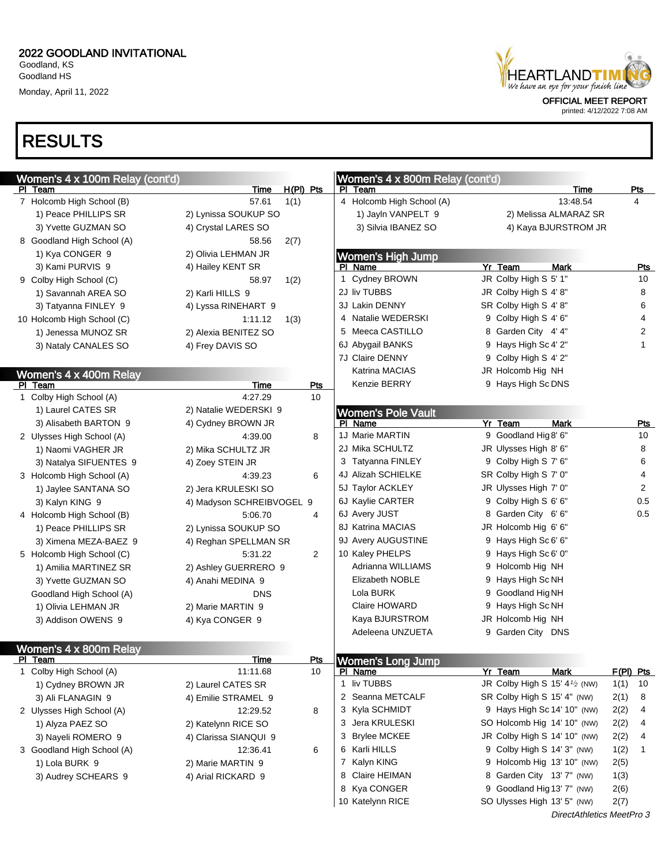

printed: 4/12/2022 7:08 AM

### RESULTS

| Women's 4 x 100m Relay (cont'd) |                           |             |                | Women's 4 x 800m Relay (cont'd) |                                            |                  |
|---------------------------------|---------------------------|-------------|----------------|---------------------------------|--------------------------------------------|------------------|
| PI Team                         | Time                      | $H(PI)$ Pts |                | PI Team                         | Time                                       | <u>Pts</u>       |
| 7 Holcomb High School (B)       | 57.61                     | 1(1)        |                | 4 Holcomb High School (A)       | 13:48.54                                   | 4                |
| 1) Peace PHILLIPS SR            | 2) Lynissa SOUKUP SO      |             |                | 1) Jayln VANPELT 9              | 2) Melissa ALMARAZ SR                      |                  |
| 3) Yvette GUZMAN SO             | 4) Crystal LARES SO       |             |                | 3) Silvia IBANEZ SO             | 4) Kaya BJURSTROM JR                       |                  |
| 8 Goodland High School (A)      | 58.56                     | 2(7)        |                |                                 |                                            |                  |
| 1) Kya CONGER 9                 | 2) Olivia LEHMAN JR       |             |                | Women's High Jump               |                                            |                  |
| 3) Kami PURVIS 9                | 4) Hailey KENT SR         |             |                | PI Name                         | Yr Team<br><b>Mark</b>                     | <b>Pts</b>       |
| 9 Colby High School (C)         | 58.97                     | 1(2)        |                | Cydney BROWN<br>1               | JR Colby High S 5' 1"                      | 10               |
| 1) Savannah AREA SO             | 2) Karli HILLS 9          |             |                | 2J liv TUBBS                    | JR Colby High S 4' 8"                      | 8                |
| 3) Tatyanna FINLEY 9            | 4) Lyssa RINEHART 9       |             |                | 3J Lakin DENNY                  | SR Colby High S 4' 8"                      | 6                |
| 10 Holcomb High School (C)      | 1:11.12                   | 1(3)        |                | 4 Natalie WEDERSKI              | 9 Colby High S 4' 6"                       | 4                |
| 1) Jenessa MUNOZ SR             | 2) Alexia BENITEZ SO      |             |                | 5 Meeca CASTILLO                | 8 Garden City 4' 4"                        | 2                |
| 3) Nataly CANALES SO            | 4) Frey DAVIS SO          |             |                | 6J Abygail BANKS                | 9 Hays High Sc 4' 2"                       | 1                |
|                                 |                           |             |                | 7J Claire DENNY                 | 9 Colby High S 4' 2"                       |                  |
| Women's 4 x 400m Relay          |                           |             |                | Katrina MACIAS                  | JR Holcomb Hig NH                          |                  |
| PI Team                         | Time                      |             | <b>Pts</b>     | Kenzie BERRY                    | 9 Hays High Sc DNS                         |                  |
| 1 Colby High School (A)         | 4:27.29                   |             | 10             |                                 |                                            |                  |
| 1) Laurel CATES SR              | 2) Natalie WEDERSKI 9     |             |                | <b>Women's Pole Vault</b>       |                                            |                  |
| 3) Alisabeth BARTON 9           | 4) Cydney BROWN JR        |             |                | PI Name                         | Yr Team<br><b>Mark</b>                     | Pts              |
| 2 Ulysses High School (A)       | 4:39.00                   |             | 8              | 1J Marie MARTIN                 | 9 Goodland Hig 8' 6"                       | 10               |
| 1) Naomi VAGHER JR              | 2) Mika SCHULTZ JR        |             |                | 2J Mika SCHULTZ                 | JR Ulysses High 8' 6"                      | 8                |
| 3) Natalya SIFUENTES 9          | 4) Zoey STEIN JR          |             |                | 3 Tatyanna FINLEY               | 9 Colby High S 7' 6"                       | 6                |
| 3 Holcomb High School (A)       | 4:39.23                   |             | 6              | 4J Alizah SCHIELKE              | SR Colby High S 7' 0"                      | 4                |
| 1) Jaylee SANTANA SO            | 2) Jera KRULESKI SO       |             |                | 5J Taylor ACKLEY                | JR Ulysses High 7' 0"                      | 2                |
| 3) Kalyn KING 9                 | 4) Madyson SCHREIBVOGEL 9 |             |                | 6J Kaylie CARTER                | 9 Colby High S 6' 6"                       | 0.5              |
| 4 Holcomb High School (B)       | 5:06.70                   |             | 4              | 6J Avery JUST                   | 8 Garden City 6'6"                         | 0.5              |
| 1) Peace PHILLIPS SR            | 2) Lynissa SOUKUP SO      |             |                | 8J Katrina MACIAS               | JR Holcomb Hig 6' 6"                       |                  |
| 3) Ximena MEZA-BAEZ 9           | 4) Reghan SPELLMAN SR     |             |                | 9J Avery AUGUSTINE              | 9 Hays High Sc 6' 6"                       |                  |
| 5 Holcomb High School (C)       | 5:31.22                   |             | $\overline{2}$ | 10 Kaley PHELPS                 | 9 Hays High Sc 6' 0"                       |                  |
| 1) Amilia MARTINEZ SR           | 2) Ashley GUERRERO 9      |             |                | Adrianna WILLIAMS               | 9 Holcomb Hig NH                           |                  |
| 3) Yvette GUZMAN SO             | 4) Anahi MEDINA 9         |             |                | <b>Elizabeth NOBLE</b>          | 9 Hays High Sc NH                          |                  |
| Goodland High School (A)        | <b>DNS</b>                |             |                | Lola BURK                       | 9 Goodland Hig NH                          |                  |
| 1) Olivia LEHMAN JR             | 2) Marie MARTIN 9         |             |                | Claire HOWARD                   | 9 Hays High Sc NH                          |                  |
| 3) Addison OWENS 9              | 4) Kya CONGER 9           |             |                | Kaya BJURSTROM                  | JR Holcomb Hig NH                          |                  |
|                                 |                           |             |                | Adeleena UNZUETA                | 9 Garden City DNS                          |                  |
| Women's 4 x 800m Relay          |                           |             |                |                                 |                                            |                  |
| PI Team                         | Time                      |             | Pts            | Women's Long Jump               |                                            |                  |
| 1 Colby High School (A)         | 11:11.68                  |             | 10             | PI Name                         | Yr Team<br>Mark                            | <u>F(PI) Pts</u> |
| 1) Cydney BROWN JR              | 2) Laurel CATES SR        |             |                | 1 liv TUBBS                     | JR Colby High S 15' 4 <sup>1</sup> /2 (NW) | 1(1)<br>10       |
| 3) Ali FLANAGIN 9               | 4) Emilie STRAMEL 9       |             |                | 2 Seanna METCALF                | SR Colby High S 15' 4" (NW)                | 2(1)<br>8        |
| 2 Ulysses High School (A)       | 12:29.52                  |             | 8              | 3 Kyla SCHMIDT                  | 9 Hays High Sc 14' 10" (NW)                | 2(2)<br>4        |
| 1) Alyza PAEZ SO                | 2) Katelynn RICE SO       |             |                | 3 Jera KRULESKI                 | SO Holcomb Hig 14' 10" (NW)                | 2(2)<br>4        |
| 3) Nayeli ROMERO 9              | 4) Clarissa SIANQUI 9     |             |                | 3 Brylee MCKEE                  | JR Colby High S 14' 10" (NW)               | 2(2)<br>4        |
| 3 Goodland High School (A)      | 12:36.41                  |             | 6              | 6 Karli HILLS                   | 9 Colby High S 14' 3" (NW)                 | 1(2)<br>1        |
| 1) Lola BURK 9                  | 2) Marie MARTIN 9         |             |                | 7 Kalyn KING                    | 9 Holcomb Hig 13' 10" (NW)                 | 2(5)             |
| 3) Audrey SCHEARS 9             | 4) Arial RICKARD 9        |             |                | 8 Claire HEIMAN                 | 8 Garden City 13' 7" (NW)                  | 1(3)             |
|                                 |                           |             |                | 8 Kya CONGER                    | 9 Goodland Hig 13' 7" (NW)                 | 2(6)             |
|                                 |                           |             |                | 10 Katelynn RICE                | SO Ulysses High 13' 5" (NW)                | 2(7)             |
|                                 |                           |             |                |                                 | DirectAthletics MeetPro 3                  |                  |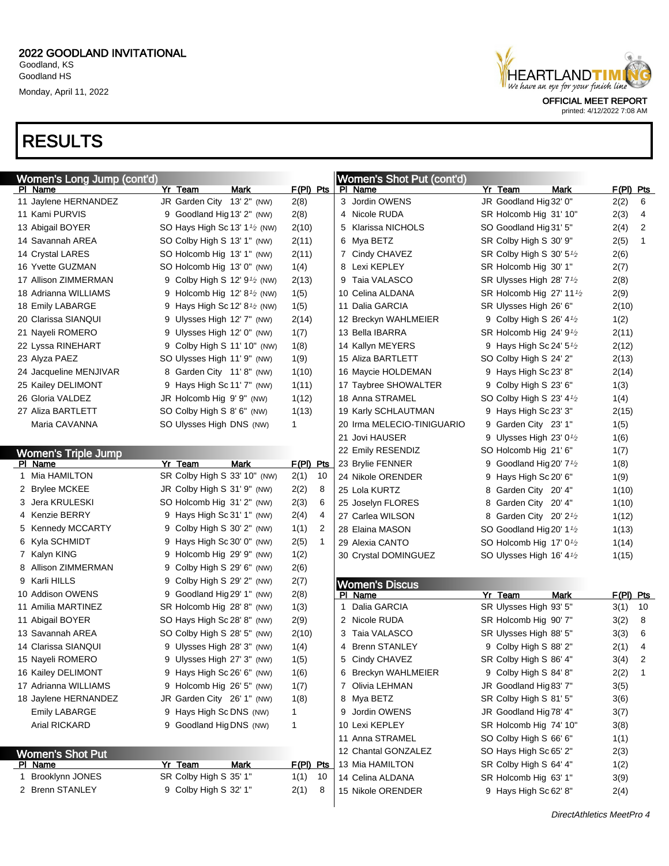# RESULTS

| HEARTLANDTIMI<br>We have an eye for your finish line |
|------------------------------------------------------|
|                                                      |
| <b>OFFICIAL MEET REPORT</b>                          |

| Women's Long Jump (cont'd) |                                         |      |              |              | Women's Shot Put (cont'd)  |   |                                       |             |             |              |
|----------------------------|-----------------------------------------|------|--------------|--------------|----------------------------|---|---------------------------------------|-------------|-------------|--------------|
| PI Name                    | Yr Team                                 | Mark | $F(PI)$ Pts  |              | PI Name                    |   | Yr Team                               | Mark        | $F(PI)$ Pts |              |
| 11 Jaylene HERNANDEZ       | JR Garden City 13' 2" (NW)              |      | 2(8)         |              | 3 Jordin OWENS             |   | JR Goodland Hig 32' 0"                |             | 2(2)        | 6            |
| 11 Kami PURVIS             | 9 Goodland Hig 13' 2" (NW)              |      | 2(8)         |              | 4 Nicole RUDA              |   | SR Holcomb Hig 31' 10"                |             | 2(3)        | 4            |
| 13 Abigail BOYER           | SO Hays High Sc 13' $1\frac{1}{2}$ (NW) |      | 2(10)        |              | 5 Klarissa NICHOLS         |   | SO Goodland Hig 31' 5"                |             | 2(4)        | 2            |
| 14 Savannah AREA           | SO Colby High S 13' 1" (NW)             |      | 2(11)        |              | 6 Mya BETZ                 |   | SR Colby High S 30' 9"                |             | 2(5)        | $\mathbf{1}$ |
| 14 Crystal LARES           | SO Holcomb Hig 13' 1" (NW)              |      | 2(11)        |              | 7 Cindy CHAVEZ             |   | SR Colby High S 30' $5\frac{1}{2}$    |             | 2(6)        |              |
| 16 Yvette GUZMAN           | SO Holcomb Hig 13' 0" (NW)              |      | 1(4)         |              | 8 Lexi KEPLEY              |   | SR Holcomb Hig 30' 1"                 |             | 2(7)        |              |
| 17 Allison ZIMMERMAN       | 9 Colby High S 12' $9^{1/2}$ (NW)       |      | 2(13)        |              | 9 Taia VALASCO             |   | SR Ulysses High 28' 7 <sup>1</sup> /2 |             | 2(8)        |              |
| 18 Adrianna WILLIAMS       | 9 Holcomb Hig 12' $8\frac{1}{2}$ (NW)   |      | 1(5)         |              | 10 Celina ALDANA           |   | SR Holcomb Hig 27' 11 <sup>1</sup> /2 |             | 2(9)        |              |
| 18 Emily LABARGE           | 9 Hays High Sc 12' $8\frac{1}{2}$ (NW)  |      | 1(5)         |              | 11 Dalia GARCIA            |   | SR Ulysses High 26' 6"                |             | 2(10)       |              |
| 20 Clarissa SIANQUI        | 9 Ulysses High 12' 7" (NW)              |      | 2(14)        |              | 12 Breckyn WAHLMEIER       |   | 9 Colby High S 26' $4\frac{1}{2}$     |             | 1(2)        |              |
| 21 Nayeli ROMERO           | 9 Ulysses High 12' 0" (NW)              |      | 1(7)         |              | 13 Bella IBARRA            |   | SR Holcomb Hig $24'9'$                |             | 2(11)       |              |
| 22 Lyssa RINEHART          | 9 Colby High S 11' 10" (NW)             |      | 1(8)         |              | 14 Kallyn MEYERS           |   | 9 Hays High Sc 24' $5\frac{1}{2}$     |             | 2(12)       |              |
| 23 Alyza PAEZ              | SO Ulysses High 11' 9" (NW)             |      | 1(9)         |              | 15 Aliza BARTLETT          |   | SO Colby High S 24' 2"                |             | 2(13)       |              |
| 24 Jacqueline MENJIVAR     | 8 Garden City 11'8" (NW)                |      | 1(10)        |              | 16 Maycie HOLDEMAN         |   | 9 Hays High Sc 23' 8"                 |             | 2(14)       |              |
| 25 Kailey DELIMONT         | 9 Hays High Sc 11' 7" (NW)              |      | 1(11)        |              | 17 Taybree SHOWALTER       |   | 9 Colby High S 23' 6"                 |             | 1(3)        |              |
| 26 Gloria VALDEZ           | JR Holcomb Hig 9' 9" (NW)               |      | 1(12)        |              | 18 Anna STRAMEL            |   | SO Colby High S 23' $4\frac{1}{2}$    |             | 1(4)        |              |
| 27 Aliza BARTLETT          | SO Colby High S 8' 6" (NW)              |      | 1(13)        |              | 19 Karly SCHLAUTMAN        | 9 | Hays High Sc 23' 3"                   |             | 2(15)       |              |
| Maria CAVANNA              | SO Ulysses High DNS (NW)                |      | 1            |              | 20 Irma MELECIO-TINIGUARIO |   | 9 Garden City 23' 1"                  |             | 1(5)        |              |
|                            |                                         |      |              |              | 21 Jovi HAUSER             |   | 9 Ulysses High 23' $0\frac{1}{2}$     |             | 1(6)        |              |
| <b>Women's Triple Jump</b> |                                         |      |              |              | 22 Emily RESENDIZ          |   | SO Holcomb Hig 21' 6"                 |             | 1(7)        |              |
| PI Name                    | Yr Team                                 | Mark | $F(PI)$ Pts  |              | 23 Brylie FENNER           | 9 | Goodland Hig 20' $7\frac{1}{2}$       |             | 1(8)        |              |
| 1 Mia HAMILTON             | SR Colby High S 33' 10" (NW)            |      | 2(1)         | 10           | 24 Nikole ORENDER          |   | 9 Hays High Sc 20' 6"                 |             | 1(9)        |              |
| 2 Brylee MCKEE             | JR Colby High S 31' 9" (NW)             |      | 2(2)         | 8            | 25 Lola KURTZ              |   | 8 Garden City 20' 4"                  |             | 1(10)       |              |
| 3 Jera KRULESKI            | SO Holcomb Hig 31' 2" (NW)              |      | 2(3)         | 6            | 25 Joselyn FLORES          |   | 8 Garden City 20' 4"                  |             | 1(10)       |              |
| 4 Kenzie BERRY             | 9 Hays High Sc 31' 1" (NW)              |      | 2(4)         | 4            | 27 Carlea WILSON           |   | 8 Garden City 20' 2 <sup>1</sup> /2   |             | 1(12)       |              |
| 5 Kennedy MCCARTY          | 9 Colby High S 30' 2" (NW)              |      | 1(1)         | 2            | 28 Elaina MASON            |   | SO Goodland Hig 20' 1 <sup>1</sup> /2 |             | 1(13)       |              |
| 6 Kyla SCHMIDT             | 9 Hays High Sc 30' 0" (NW)              |      | 2(5)         | $\mathbf{1}$ | 29 Alexia CANTO            |   | SO Holcomb Hig 17' 0 <sup>1</sup> /2  |             | 1(14)       |              |
| 7 Kalyn KING               | 9 Holcomb Hig 29' 9" (NW)               |      | 1(2)         |              | 30 Crystal DOMINGUEZ       |   | SO Ulysses High 16' 4 <sup>1</sup> /2 |             | 1(15)       |              |
| 8 Allison ZIMMERMAN        | 9 Colby High S 29' 6" (NW)              |      | 2(6)         |              |                            |   |                                       |             |             |              |
| 9 Karli HILLS              | 9 Colby High S 29' 2" (NW)              |      | 2(7)         |              | <b>Women's Discus</b>      |   |                                       |             |             |              |
| 10 Addison OWENS           | 9 Goodland Hig 29' 1" (NW)              |      | 2(8)         |              | PI Name                    |   | Yr Team                               | <b>Mark</b> | $F(PI)$ Pts |              |
| 11 Amilia MARTINEZ         | SR Holcomb Hig 28' 8" (NW)              |      | 1(3)         |              | Dalia GARCIA<br>1.         |   | SR Ulysses High 93' 5"                |             | 3(1)        | 10           |
| 11 Abigail BOYER           | SO Hays High Sc 28' 8" (NW)             |      | 2(9)         |              | 2 Nicole RUDA              |   | SR Holcomb Hig 90' 7"                 |             | 3(2)        | 8            |
| 13 Savannah AREA           | SO Colby High S 28' 5" (NW)             |      | 2(10)        |              | 3 Taia VALASCO             |   | SR Ulysses High 88' 5"                |             | 3(3)        | 6            |
| 14 Clarissa SIANQUI        | 9 Ulysses High 28' 3" (NW)              |      | 1(4)         |              | 4 Brenn STANLEY            |   | 9 Colby High S 88' 2"                 |             | 2(1)        | 4            |
| 15 Nayeli ROMERO           | 9 Ulysses High 27' 3" (NW)              |      | 1(5)         |              | Cindy CHAVEZ<br>5          |   | SR Colby High S 86' 4"                |             | 3(4)        |              |
| 16 Kailey DELIMONT         | 9 Hays High Sc 26' 6" (NW)              |      | 1(6)         |              | 6 Breckyn WAHLMEIER        |   | 9 Colby High S 84' 8"                 |             | 2(2)        | $\mathbf 1$  |
| 17 Adrianna WILLIAMS       | 9 Holcomb Hig 26' 5" (NW)               |      | 1(7)         |              | 7 Olivia LEHMAN            |   | JR Goodland Hig 83' 7"                |             | 3(5)        |              |
| 18 Jaylene HERNANDEZ       | JR Garden City 26' 1" (NW)              |      | 1(8)         |              | 8 Mya BETZ                 |   | SR Colby High S 81' 5"                |             | 3(6)        |              |
| <b>Emily LABARGE</b>       | 9 Hays High Sc DNS (NW)                 |      | 1            |              | 9 Jordin OWENS             |   | JR Goodland Hig 78' 4"                |             | 3(7)        |              |
| Arial RICKARD              | 9 Goodland Hig DNS (NW)                 |      | $\mathbf{1}$ |              | 10 Lexi KEPLEY             |   | SR Holcomb Hig 74' 10"                |             | 3(8)        |              |
|                            |                                         |      |              |              | 11 Anna STRAMEL            |   | SO Colby High S 66' 6"                |             | 1(1)        |              |
| <b>Women's Shot Put</b>    |                                         |      |              |              | 12 Chantal GONZALEZ        |   | SO Hays High Sc 65' 2"                |             | 2(3)        |              |
| PI Name                    | Yr Team                                 | Mark | $F(PI)$ Pts  |              | 13 Mia HAMILTON            |   | SR Colby High S 64' 4"                |             | 1(2)        |              |
| 1 Brooklynn JONES          | SR Colby High S 35' 1"                  |      | 1(1)         | 10           | 14 Celina ALDANA           |   | SR Holcomb Hig 63' 1"                 |             | 3(9)        |              |
| 2 Brenn STANLEY            | 9 Colby High S 32' 1"                   |      | 2(1)         | 8            | 15 Nikole ORENDER          |   | 9 Hays High Sc 62' 8"                 |             | 2(4)        |              |
|                            |                                         |      |              |              |                            |   |                                       |             |             |              |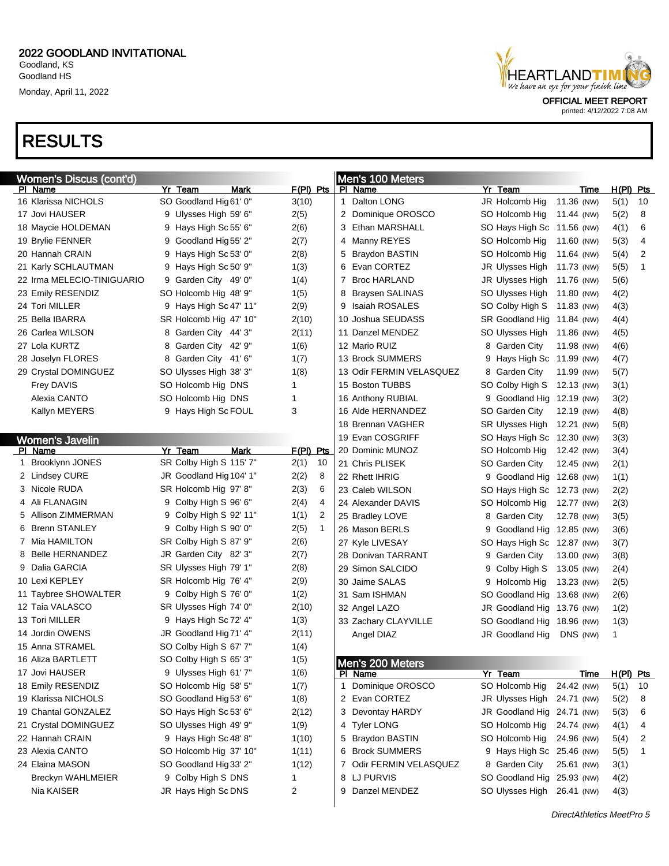# RESULTS

| HEARTLANDTIMI<br>We have an eye for your finish line |
|------------------------------------------------------|
| <b>OFFICIAL MEET REPORT</b>                          |

| <b>Women's Discus (cont'd)</b> |                         |      |                      |              | Men's 100 Meters         |   |                            |            |             |             |    |
|--------------------------------|-------------------------|------|----------------------|--------------|--------------------------|---|----------------------------|------------|-------------|-------------|----|
| PI Name                        | Yr Team                 | Mark | $F(PI)$ Pts          |              | PI Name                  |   | Yr Team                    |            | Time        | $H(PI)$ Pts |    |
| 16 Klarissa NICHOLS            | SO Goodland Hig 61' 0"  |      | 3(10)                | $\mathbf{1}$ | Dalton LONG              |   | JR Holcomb Hig             | 11.36 (NW) |             | 5(1)        | 10 |
| 17 Jovi HAUSER                 | 9 Ulysses High 59' 6"   |      | 2(5)                 |              | 2 Dominique OROSCO       |   | SO Holcomb Hig             | 11.44 (NW) |             | 5(2)        | 8  |
| 18 Maycie HOLDEMAN             | 9 Hays High Sc 55' 6"   |      | 2(6)                 |              | 3 Ethan MARSHALL         |   | SO Hays High Sc 11.56 (NW) |            |             | 4(1)        | 6  |
| 19 Brylie FENNER               | 9 Goodland Hig 55' 2"   |      | 2(7)                 |              | 4 Manny REYES            |   | SO Holcomb Hig             | 11.60 (NW) |             | 5(3)        | 4  |
| 20 Hannah CRAIN                | 9 Hays High Sc 53' 0"   |      | 2(8)                 |              | 5 Braydon BASTIN         |   | SO Holcomb Hig             | 11.64 (NW) |             | 5(4)        | 2  |
| 21 Karly SCHLAUTMAN            | 9 Hays High Sc 50' 9"   |      | 1(3)                 |              | 6 Evan CORTEZ            |   | JR Ulysses High            | 11.73 (NW) |             | 5(5)        | 1  |
| 22 Irma MELECIO-TINIGUARIO     | 9 Garden City 49' 0"    |      | 1(4)                 |              | 7 Broc HARLAND           |   | JR Ulysses High            | 11.76 (NW) |             | 5(6)        |    |
| 23 Emily RESENDIZ              | SO Holcomb Hig 48' 9"   |      | 1(5)                 |              | 8 Braysen SALINAS        |   | SO Ulysses High            | 11.80 (NW) |             | 4(2)        |    |
| 24 Tori MILLER                 | 9 Hays High Sc 47' 11"  |      | 2(9)                 |              | 9 Isaiah ROSALES         |   | SO Colby High S            | 11.83 (NW) |             | 4(3)        |    |
| 25 Bella IBARRA                | SR Holcomb Hig 47' 10"  |      | 2(10)                |              | 10 Joshua SEUDASS        |   | SR Goodland Hig 11.84 (NW) |            |             | 4(4)        |    |
| 26 Carlea WILSON               | 8 Garden City 44' 3"    |      | 2(11)                |              | 11 Danzel MENDEZ         |   | SO Ulysses High            | 11.86 (NW) |             | 4(5)        |    |
| 27 Lola KURTZ                  | 8 Garden City 42' 9"    |      | 1(6)                 |              | 12 Mario RUIZ            |   | 8 Garden City              | 11.98 (NW) |             | 4(6)        |    |
| 28 Joselyn FLORES              | 8 Garden City 41' 6"    |      | 1(7)                 |              | 13 Brock SUMMERS         | 9 | Hays High Sc 11.99 (NW)    |            |             | 4(7)        |    |
| 29 Crystal DOMINGUEZ           | SO Ulysses High 38' 3"  |      | 1(8)                 |              | 13 Odir FERMIN VELASQUEZ |   | 8 Garden City              | 11.99 (NW) |             | 5(7)        |    |
| <b>Frey DAVIS</b>              | SO Holcomb Hig DNS      |      | 1                    |              | 15 Boston TUBBS          |   | SO Colby High S            | 12.13 (NW) |             | 3(1)        |    |
| Alexia CANTO                   | SO Holcomb Hig DNS      |      | 1                    |              | 16 Anthony RUBIAL        |   | 9 Goodland Hig 12.19 (NW)  |            |             | 3(2)        |    |
| Kallyn MEYERS                  | 9 Hays High Sc FOUL     |      | 3                    |              | 16 Alde HERNANDEZ        |   | SO Garden City             | 12.19 (NW) |             | 4(8)        |    |
|                                |                         |      |                      |              | 18 Brennan VAGHER        |   | SR Ulysses High            | 12.21 (NW) |             | 5(8)        |    |
| <b>Women's Javelin</b>         |                         |      |                      |              | 19 Evan COSGRIFF         |   | SO Hays High Sc 12.30 (NW) |            |             | 3(3)        |    |
| PI Name                        | Yr Team                 | Mark | $F(PI)$ Pts          |              | 20 Dominic MUNOZ         |   | SO Holcomb Hig             | 12.42 (NW) |             | 3(4)        |    |
| 1 Brooklynn JONES              | SR Colby High S 115' 7" |      | 2(1)<br>10           |              | 21 Chris PLISEK          |   | SO Garden City             | 12.45 (NW) |             | 2(1)        |    |
| 2 Lindsey CURE                 | JR Goodland Hig 104' 1" |      | 2(2)<br>8            |              | 22 Rhett IHRIG           |   | 9 Goodland Hig 12.68 (NW)  |            |             | 1(1)        |    |
| 3 Nicole RUDA                  | SR Holcomb Hig 97' 8"   |      | 2(3)<br>6            |              | 23 Caleb WILSON          |   | SO Hays High Sc 12.73 (NW) |            |             | 2(2)        |    |
| 4 Ali FLANAGIN                 | 9 Colby High S 96' 6"   |      | 2(4)<br>4            |              | 24 Alexander DAVIS       |   | SO Holcomb Hig             | 12.77 (NW) |             | 2(3)        |    |
| 5 Allison ZIMMERMAN            | 9 Colby High S 92' 11"  |      | 1(1)<br>2            |              | 25 Bradley LOVE          |   | 8 Garden City              | 12.78 (NW) |             | 3(5)        |    |
| 6 Brenn STANLEY                | 9 Colby High S 90' 0"   |      | 2(5)<br>$\mathbf{1}$ |              | 26 Mason BERLS           | 9 | Goodland Hig 12.85 (NW)    |            |             | 3(6)        |    |
| 7 Mia HAMILTON                 | SR Colby High S 87' 9"  |      | 2(6)                 |              | 27 Kyle LIVESAY          |   | SO Hays High Sc 12.87 (NW) |            |             | 3(7)        |    |
| 8 Belle HERNANDEZ              | JR Garden City 82' 3"   |      | 2(7)                 |              | 28 Donivan TARRANT       |   | 9 Garden City              | 13.00 (NW) |             | 3(8)        |    |
| 9 Dalia GARCIA                 | SR Ulysses High 79' 1"  |      | 2(8)                 |              | 29 Simon SALCIDO         | 9 | Colby High S               | 13.05 (NW) |             | 2(4)        |    |
| 10 Lexi KEPLEY                 | SR Holcomb Hig 76' 4"   |      | 2(9)                 |              | 30 Jaime SALAS           |   | 9 Holcomb Hig              | 13.23 (NW) |             | 2(5)        |    |
| 11 Taybree SHOWALTER           | 9 Colby High S 76' 0"   |      | 1(2)                 |              | 31 Sam ISHMAN            |   | SO Goodland Hig 13.68 (NW) |            |             | 2(6)        |    |
| 12 Taia VALASCO                | SR Ulysses High 74' 0"  |      | 2(10)                |              | 32 Angel LAZO            |   | JR Goodland Hig 13.76 (NW) |            |             | 1(2)        |    |
| 13 Tori MILLER                 | 9 Hays High Sc 72' 4"   |      | 1(3)                 |              | 33 Zachary CLAYVILLE     |   | SO Goodland Hig            | 18.96 (NW) |             | 1(3)        |    |
| 14 Jordin OWENS                | JR Goodland Hig 71' 4"  |      | 2(11)                |              | Angel DIAZ               |   | JR Goodland Hig            | DNS (NW)   |             | 1           |    |
| 15 Anna STRAMEL                | SO Colby High S 67' 7"  |      | 1(4)                 |              |                          |   |                            |            |             |             |    |
| 16 Aliza BARTLETT              | SO Colby High S 65' 3"  |      | 1(5)                 |              | Men's 200 Meters         |   |                            |            |             |             |    |
| 17 Jovi HAUSER                 | 9 Ulysses High 61' 7"   |      | 1(6)                 |              | PI Name                  |   | Yr Team                    |            | <b>Time</b> | $H(PI)$ Pts |    |
| 18 Emily RESENDIZ              | SO Holcomb Hig 58' 5"   |      | 1(7)                 | 1            | Dominique OROSCO         |   | SO Holcomb Hig             | 24.42 (NW) |             | 5(1)        | 10 |
| 19 Klarissa NICHOLS            | SO Goodland Hig 53' 6"  |      | 1(8)                 |              | 2 Evan CORTEZ            |   | JR Ulysses High            | 24.71 (NW) |             | 5(2)        | 8  |
| 19 Chantal GONZALEZ            | SO Hays High Sc 53' 6"  |      | 2(12)                |              | 3 Devontay HARDY         |   | JR Goodland Hig            | 24.71 (NW) |             | 5(3)        | 6  |
| 21 Crystal DOMINGUEZ           | SO Ulysses High 49' 9"  |      | 1(9)                 |              | 4 Tyler LONG             |   | SO Holcomb Hig             | 24.74 (NW) |             | 4(1)        | 4  |
| 22 Hannah CRAIN                | 9 Hays High Sc 48' 8"   |      | 1(10)                |              | 5 Braydon BASTIN         |   | SO Holcomb Hig             | 24.96 (NW) |             | 5(4)        | 2  |
| 23 Alexia CANTO                | SO Holcomb Hig 37' 10"  |      | 1(11)                |              | 6 Brock SUMMERS          |   | 9 Hays High Sc 25.46 (NW)  |            |             | 5(5)        | 1  |
| 24 Elaina MASON                | SO Goodland Hig 33' 2"  |      | 1(12)                |              | 7 Odir FERMIN VELASQUEZ  |   | 8 Garden City              | 25.61 (NW) |             | 3(1)        |    |
| <b>Breckyn WAHLMEIER</b>       | 9 Colby High S DNS      |      | 1                    |              | 8 LJ PURVIS              |   | SO Goodland Hig            | 25.93 (NW) |             | 4(2)        |    |
| Nia KAISER                     | JR Hays High Sc DNS     |      | 2                    |              | 9 Danzel MENDEZ          |   | SO Ulysses High 26.41 (NW) |            |             | 4(3)        |    |
|                                |                         |      |                      |              |                          |   |                            |            |             |             |    |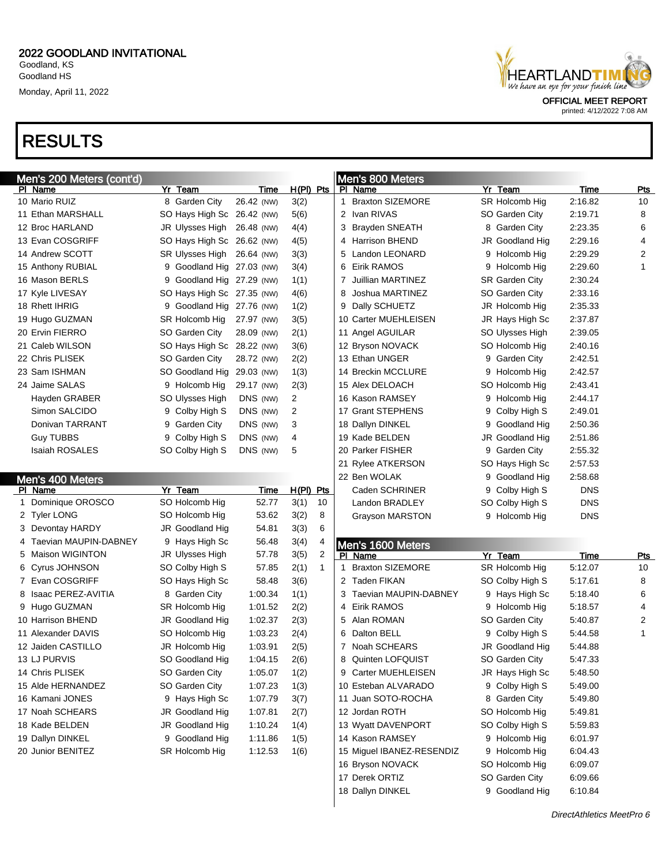# RESULTS

| HEARTLANDT I MI<br>We have an eye for your finish line |
|--------------------------------------------------------|
| <b>OFFICIAL MEET REPORT</b>                            |

| Men's 200 Meters (cont'd)          |                            |             |                      |    | Men's 800 Meters              |                 |            |                   |
|------------------------------------|----------------------------|-------------|----------------------|----|-------------------------------|-----------------|------------|-------------------|
| PI Name                            | Yr Team                    | Time        | $H(PI)$ Pts          |    | PI Name                       | Yr Team         | Time       | Pts               |
| 10 Mario RUIZ                      | 8 Garden City              | 26.42 (NW)  | 3(2)                 |    | 1 Braxton SIZEMORE            | SR Holcomb Hig  | 2:16.82    | 10                |
| 11 Ethan MARSHALL                  | SO Hays High Sc 26.42 (NW) |             | 5(6)                 |    | 2 Ivan RIVAS                  | SO Garden City  | 2:19.71    | 8                 |
| 12 Broc HARLAND                    | JR Ulysses High 26.48 (NW) |             | 4(4)                 |    | 3 Brayden SNEATH              | 8 Garden City   | 2:23.35    | 6                 |
| 13 Evan COSGRIFF                   | SO Hays High Sc 26.62 (NW) |             | 4(5)                 |    | 4 Harrison BHEND              | JR Goodland Hig | 2:29.16    | 4                 |
| 14 Andrew SCOTT                    | SR Ulysses High 26.64 (NW) |             | 3(3)                 |    | 5 Landon LEONARD              | 9 Holcomb Hig   | 2:29.29    | 2                 |
| 15 Anthony RUBIAL                  | 9 Goodland Hig 27.03 (NW)  |             | 3(4)                 |    | 6 Eirik RAMOS                 | 9 Holcomb Hig   | 2:29.60    | $\mathbf{1}$      |
| 16 Mason BERLS                     | 9 Goodland Hig 27.29 (NW)  |             | 1(1)                 | 7  | Juillian MARTINEZ             | SR Garden City  | 2:30.24    |                   |
| 17 Kyle LIVESAY                    | SO Hays High Sc 27.35 (NW) |             | 4(6)                 | 8  | Joshua MARTINEZ               | SO Garden City  | 2:33.16    |                   |
| 18 Rhett IHRIG                     | 9 Goodland Hig 27.76 (NW)  |             | 1(2)                 | 9  | Dally SCHUETZ                 | JR Holcomb Hig  | 2:35.33    |                   |
| 19 Hugo GUZMAN                     | SR Holcomb Hig             | 27.97 (NW)  | 3(5)                 |    | 10 Carter MUEHLEISEN          | JR Hays High Sc | 2:37.87    |                   |
| 20 Ervin FIERRO                    | SO Garden City             | 28.09 (NW)  | 2(1)                 |    | 11 Angel AGUILAR              | SO Ulysses High | 2:39.05    |                   |
| 21 Caleb WILSON                    | SO Hays High Sc 28.22 (NW) |             | 3(6)                 |    | 12 Bryson NOVACK              | SO Holcomb Hig  | 2:40.16    |                   |
| 22 Chris PLISEK                    | SO Garden City             | 28.72 (NW)  | 2(2)                 |    | 13 Ethan UNGER                | 9 Garden City   | 2:42.51    |                   |
| 23 Sam ISHMAN                      | SO Goodland Hig            | 29.03 (NW)  | 1(3)                 |    | 14 Breckin MCCLURE            | 9 Holcomb Hig   | 2:42.57    |                   |
| 24 Jaime SALAS                     | 9 Holcomb Hig              | 29.17 (NW)  | 2(3)                 |    | 15 Alex DELOACH               | SO Holcomb Hig  | 2:43.41    |                   |
| Hayden GRABER                      | SO Ulysses High            | DNS (NW)    | 2                    |    | 16 Kason RAMSEY               | 9 Holcomb Hig   | 2:44.17    |                   |
| Simon SALCIDO                      | 9 Colby High S             | DNS (NW)    | 2                    |    | 17 Grant STEPHENS             | 9 Colby High S  | 2:49.01    |                   |
| Donivan TARRANT                    | 9 Garden City              | DNS (NW)    | 3                    |    | 18 Dallyn DINKEL              | 9 Goodland Hig  | 2:50.36    |                   |
| <b>Guy TUBBS</b>                   | Colby High S<br>9          | DNS (NW)    | 4                    |    | 19 Kade BELDEN                | JR Goodland Hig | 2:51.86    |                   |
| <b>Isaiah ROSALES</b>              | SO Colby High S            | DNS (NW)    | 5                    |    | 20 Parker FISHER              | 9 Garden City   | 2:55.32    |                   |
|                                    |                            |             |                      |    | 21 Rylee ATKERSON             | SO Hays High Sc | 2:57.53    |                   |
|                                    |                            |             |                      |    | 22 Ben WOLAK                  | 9 Goodland Hig  | 2:58.68    |                   |
| Men's 400 Meters<br>PI Name        | Yr Team                    | <b>Time</b> | $H(PI)$ Pts          |    | Caden SCHRINER                | 9 Colby High S  | <b>DNS</b> |                   |
| Dominique OROSCO<br>1              | SO Holcomb Hig             | 52.77       | 3(1)<br>10           |    | Landon BRADLEY                | SO Colby High S | <b>DNS</b> |                   |
| 2 Tyler LONG                       | SO Holcomb Hig             | 53.62       | 3(2)<br>8            |    | <b>Grayson MARSTON</b>        | 9 Holcomb Hig   | <b>DNS</b> |                   |
| 3 Devontay HARDY                   | JR Goodland Hig            | 54.81       | 3(3)<br>6            |    |                               |                 |            |                   |
| 4 Taevian MAUPIN-DABNEY            | 9 Hays High Sc             | 56.48       | 3(4)<br>4            |    |                               |                 |            |                   |
| 5 Maison WIGINTON                  | JR Ulysses High            | 57.78       | 3(5)<br>2            |    | Men's 1600 Meters<br>PI Name  | Yr Team         | Time       |                   |
| 6 Cyrus JOHNSON                    | SO Colby High S            | 57.85       | 2(1)<br>$\mathbf{1}$ | 1  | <b>Braxton SIZEMORE</b>       | SR Holcomb Hig  | 5:12.07    | <b>Pts</b><br>10  |
| 7 Evan COSGRIFF                    | SO Hays High Sc            | 58.48       | 3(6)                 |    | 2 Taden FIKAN                 | SO Colby High S | 5:17.61    | 8                 |
| 8 Isaac PEREZ-AVITIA               |                            |             |                      |    | 3 Taevian MAUPIN-DABNEY       |                 | 5:18.40    | 6                 |
|                                    | 8 Garden City              | 1:00.34     | 1(1)                 |    | 4 Eirik RAMOS                 | 9 Hays High Sc  |            | 4                 |
| 9 Hugo GUZMAN<br>10 Harrison BHEND | SR Holcomb Hig             | 1:01.52     | 2(2)                 |    | 5 Alan ROMAN                  | 9 Holcomb Hig   | 5:18.57    |                   |
|                                    | JR Goodland Hig            | 1:02.37     | 2(3)                 |    |                               | SO Garden City  | 5:40.87    | 2<br>$\mathbf{1}$ |
| 11 Alexander DAVIS                 | SO Holcomb Hig             | 1:03.23     | 2(4)                 | 6. | Dalton BELL<br>7 Noah SCHEARS | 9 Colby High S  | 5:44.58    |                   |
| 12 Jaiden CASTILLO                 | JR Holcomb Hig             | 1:03.91     | 2(5)                 |    |                               | JR Goodland Hig | 5:44.88    |                   |
| 13 LJ PURVIS                       | SO Goodland Hig            | 1:04.15     | 2(6)                 | 8  | <b>Quinten LOFQUIST</b>       | SO Garden City  | 5:47.33    |                   |
| 14 Chris PLISEK                    | SO Garden City             | 1:05.07     | 1(2)                 |    | 9 Carter MUEHLEISEN           | JR Hays High Sc | 5:48.50    |                   |
| 15 Alde HERNANDEZ                  | SO Garden City             | 1:07.23     | 1(3)                 |    | 10 Esteban ALVARADO           | 9 Colby High S  | 5:49.00    |                   |
| 16 Kamani JONES                    | 9 Hays High Sc             | 1:07.79     | 3(7)                 |    | 11 Juan SOTO-ROCHA            | 8 Garden City   | 5:49.80    |                   |
| 17 Noah SCHEARS                    | JR Goodland Hig            | 1:07.81     | 2(7)                 |    | 12 Jordan ROTH                | SO Holcomb Hig  | 5:49.81    |                   |
| 18 Kade BELDEN                     | JR Goodland Hig            | 1:10.24     | 1(4)                 |    | 13 Wyatt DAVENPORT            | SO Colby High S | 5:59.83    |                   |
| 19 Dallyn DINKEL                   | 9 Goodland Hig             | 1:11.86     | 1(5)                 |    | 14 Kason RAMSEY               | 9 Holcomb Hig   | 6:01.97    |                   |
| 20 Junior BENITEZ                  | SR Holcomb Hig             | 1:12.53     | 1(6)                 |    | 15 Miguel IBANEZ-RESENDIZ     | 9 Holcomb Hig   | 6:04.43    |                   |
|                                    |                            |             |                      |    | 16 Bryson NOVACK              | SO Holcomb Hig  | 6:09.07    |                   |
|                                    |                            |             |                      |    | 17 Derek ORTIZ                | SO Garden City  | 6:09.66    |                   |
|                                    |                            |             |                      |    | 18 Dallyn DINKEL              | 9 Goodland Hig  | 6:10.84    |                   |
|                                    |                            |             |                      |    |                               |                 |            |                   |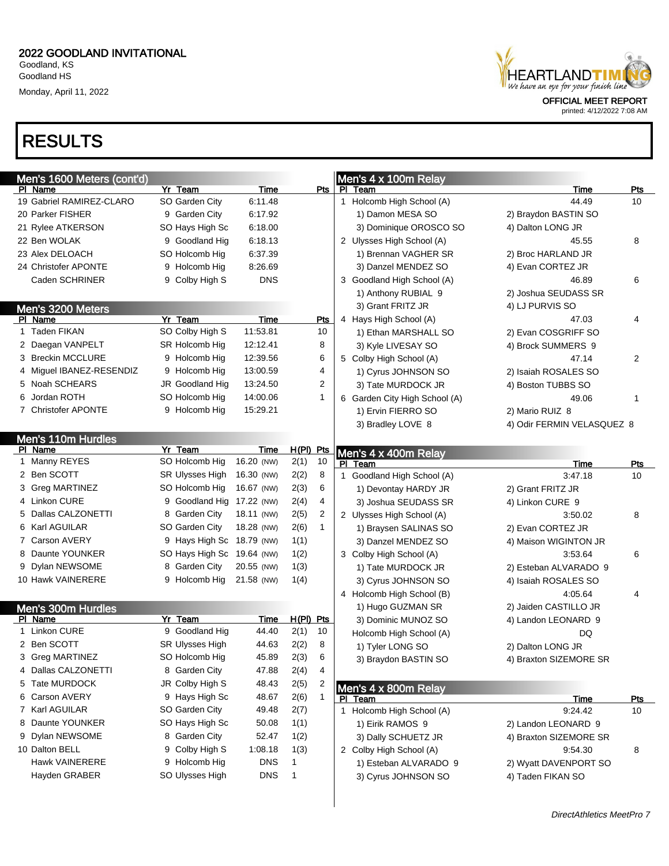# RESULTS

| HEARTLANDTIMI               |
|-----------------------------|
| <b>OFFICIAL MEET REPORT</b> |

| Men's 1600 Meters (cont'd) |                            |             |                      | Men's 4 x 100m Relay          |                            |            |
|----------------------------|----------------------------|-------------|----------------------|-------------------------------|----------------------------|------------|
| PI Name                    | Yr Team                    | <u>Time</u> |                      | Pts   PI Team                 | Time                       | <u>Pts</u> |
| 19 Gabriel RAMIREZ-CLARO   | SO Garden City             | 6:11.48     |                      | 1 Holcomb High School (A)     | 44.49                      | 10         |
| 20 Parker FISHER           | 9 Garden City              | 6:17.92     |                      | 1) Damon MESA SO              | 2) Braydon BASTIN SO       |            |
| 21 Rylee ATKERSON          | SO Hays High Sc            | 6:18.00     |                      | 3) Dominique OROSCO SO        | 4) Dalton LONG JR          |            |
| 22 Ben WOLAK               | 9 Goodland Hig             | 6:18.13     |                      | 2 Ulysses High School (A)     | 45.55                      | 8          |
| 23 Alex DELOACH            | SO Holcomb Hig             | 6:37.39     |                      | 1) Brennan VAGHER SR          | 2) Broc HARLAND JR         |            |
| 24 Christofer APONTE       | 9 Holcomb Hig              | 8:26.69     |                      | 3) Danzel MENDEZ SO           | 4) Evan CORTEZ JR          |            |
| Caden SCHRINER             | 9 Colby High S             | <b>DNS</b>  |                      | 3 Goodland High School (A)    | 46.89                      | 6          |
|                            |                            |             |                      | 1) Anthony RUBIAL 9           | 2) Joshua SEUDASS SR       |            |
| Men's 3200 Meters          |                            |             |                      | 3) Grant FRITZ JR             | 4) LJ PURVIS SO            |            |
| PI Name                    | Yr Team                    | Time        | <b>Pts</b>           | 4 Hays High School (A)        | 47.03                      | 4          |
| 1 Taden FIKAN              | SO Colby High S            | 11:53.81    | 10                   | 1) Ethan MARSHALL SO          | 2) Evan COSGRIFF SO        |            |
| 2 Daegan VANPELT           | SR Holcomb Hig             | 12:12.41    | 8                    | 3) Kyle LIVESAY SO            | 4) Brock SUMMERS 9         |            |
| 3 Breckin MCCLURE          | 9 Holcomb Hig              | 12:39.56    | 6                    | 5 Colby High School (A)       | 47.14                      | 2          |
| 4 Miguel IBANEZ-RESENDIZ   | 9 Holcomb Hig              | 13:00.59    | 4                    | 1) Cyrus JOHNSON SO           | 2) Isaiah ROSALES SO       |            |
| 5 Noah SCHEARS             | JR Goodland Hig            | 13:24.50    | 2                    | 3) Tate MURDOCK JR            | 4) Boston TUBBS SO         |            |
| 6 Jordan ROTH              | SO Holcomb Hig             | 14:00.06    | 1                    | 6 Garden City High School (A) | 49.06                      | 1          |
| 7 Christofer APONTE        | 9 Holcomb Hig              | 15:29.21    |                      | 1) Ervin FIERRO SO            | 2) Mario RUIZ 8            |            |
|                            |                            |             |                      | 3) Bradley LOVE 8             | 4) Odir FERMIN VELASQUEZ 8 |            |
| Men's 110m Hurdles         |                            |             |                      |                               |                            |            |
| PI Name                    | Yr Team                    | Time        | $H(PI)$ Pts          | Men's 4 x 400m Relay          |                            |            |
| 1 Manny REYES              | SO Holcomb Hig             | 16.20 (NW)  | 10<br>2(1)           | PI Team                       | Time                       | Pts        |
| 2 Ben SCOTT                | <b>SR Ulysses High</b>     | 16.30 (NW)  | 2(2)<br>8            | 1 Goodland High School (A)    | 3:47.18                    | 10         |
| 3 Greg MARTINEZ            | SO Holcomb Hig             | 16.67 (NW)  | 2(3)<br>6            | 1) Devontay HARDY JR          | 2) Grant FRITZ JR          |            |
| 4 Linkon CURE              | 9 Goodland Hig 17.22 (NW)  |             | 2(4)<br>4            | 3) Joshua SEUDASS SR          | 4) Linkon CURE 9           |            |
| 5 Dallas CALZONETTI        | 8 Garden City              | 18.11 (NW)  | 2(5)<br>2            | 2 Ulysses High School (A)     | 3:50.02                    | 8          |
| 6 Karl AGUILAR             | SO Garden City             | 18.28 (NW)  | 2(6)<br>$\mathbf{1}$ | 1) Braysen SALINAS SO         | 2) Evan CORTEZ JR          |            |
| 7 Carson AVERY             | 9 Hays High Sc 18.79 (NW)  |             | 1(1)                 | 3) Danzel MENDEZ SO           | 4) Maison WIGINTON JR      |            |
| 8 Daunte YOUNKER           | SO Hays High Sc 19.64 (NW) |             | 1(2)                 | 3 Colby High School (A)       | 3:53.64                    | 6          |
| 9 Dylan NEWSOME            | 8 Garden City              | 20.55 (NW)  | 1(3)                 | 1) Tate MURDOCK JR            | 2) Esteban ALVARADO 9      |            |
| 10 Hawk VAINERERE          | 9 Holcomb Hig              | 21.58 (NW)  | 1(4)                 | 3) Cyrus JOHNSON SO           | 4) Isaiah ROSALES SO       |            |
|                            |                            |             |                      | 4 Holcomb High School (B)     | 4:05.64                    | 4          |
| Men's 300m Hurdles         |                            |             |                      | 1) Hugo GUZMAN SR             | 2) Jaiden CASTILLO JR      |            |
| PI Name                    | Yr Team                    | Time        | $H(PI)$ Pts          | 3) Dominic MUNOZ SO           | 4) Landon LEONARD 9        |            |
| 1 Linkon CURE              | 9 Goodland Hig             | 44.40       | 2(1)<br>10           | Holcomb High School (A)       | DQ                         |            |
| 2 Ben SCOTT                | SR Ulysses High            | 44.63       | 8<br>2(2)            | 1) Tyler LONG SO              | 2) Dalton LONG JR          |            |
| 3 Greg MARTINEZ            | SO Holcomb Hig             | 45.89       | 2(3)<br>6            | 3) Braydon BASTIN SO          | 4) Braxton SIZEMORE SR     |            |
| 4 Dallas CALZONETTI        | 8 Garden City              | 47.88       | 2(4)<br>4            |                               |                            |            |
| 5 Tate MURDOCK             | JR Colby High S            | 48.43       | 2(5)<br>2            | Men's 4 x 800m Relay          |                            |            |
| 6 Carson AVERY             | 9 Hays High Sc             | 48.67       | 2(6)<br>$\mathbf{1}$ | PI Team                       | <b>Time</b>                | <b>Pts</b> |
| 7 Karl AGUILAR             | SO Garden City             | 49.48       | 2(7)                 | 1 Holcomb High School (A)     | 9:24.42                    | 10         |
| 8 Daunte YOUNKER           | SO Hays High Sc            | 50.08       | 1(1)                 | 1) Eirik RAMOS 9              | 2) Landon LEONARD 9        |            |
| 9 Dylan NEWSOME            | 8 Garden City              | 52.47       | 1(2)                 | 3) Dally SCHUETZ JR           | 4) Braxton SIZEMORE SR     |            |
| 10 Dalton BELL             | 9 Colby High S             | 1:08.18     | 1(3)                 | 2 Colby High School (A)       | 9:54.30                    | 8          |
| <b>Hawk VAINERERE</b>      | 9 Holcomb Hig              | <b>DNS</b>  | 1                    | 1) Esteban ALVARADO 9         | 2) Wyatt DAVENPORT SO      |            |
| Hayden GRABER              | SO Ulysses High            | <b>DNS</b>  | $\mathbf{1}$         | 3) Cyrus JOHNSON SO           | 4) Taden FIKAN SO          |            |
|                            |                            |             |                      |                               |                            |            |
|                            |                            |             |                      |                               |                            |            |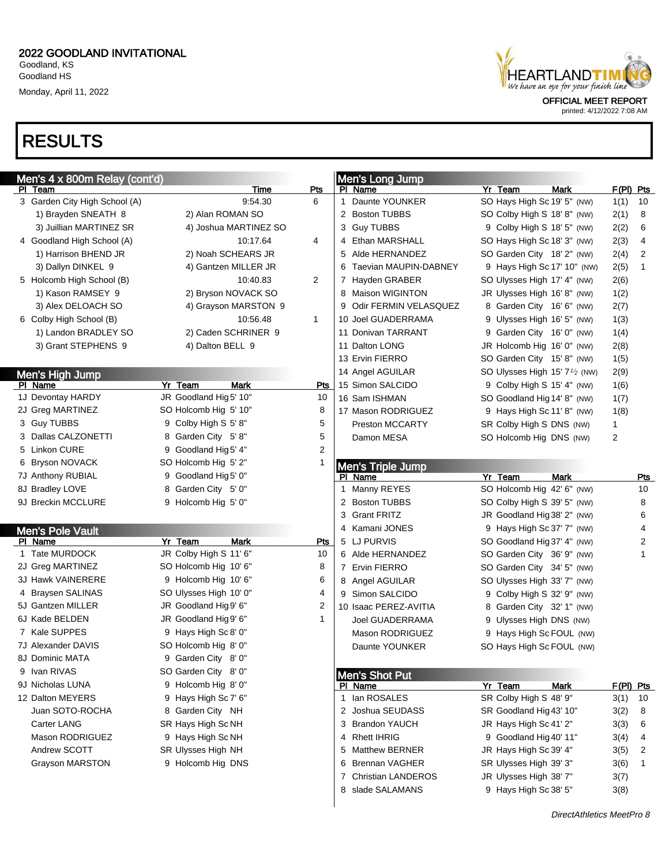# RESULTS

| HEARTLANDT I MI<br>We have an eye for your finish line |  |
|--------------------------------------------------------|--|
|                                                        |  |
| <b>OFFICIAL MEET REPORT</b>                            |  |

| Men's 4 x 800m Relay (cont'd) |                        |                | Men's Long Jump            |                                                        |             |
|-------------------------------|------------------------|----------------|----------------------------|--------------------------------------------------------|-------------|
| PI Team                       | Time                   | Pts            | PI Name                    | Yr Team<br><b>Mark</b>                                 | $F(PI)$ Pts |
| 3 Garden City High School (A) | 9:54.30                | 6              | Daunte YOUNKER<br>1        | SO Hays High Sc 19' 5" (NW)                            | 10<br>1(1)  |
| 1) Brayden SNEATH 8           | 2) Alan ROMAN SO       |                | 2 Boston TUBBS             | SO Colby High S 18' 8" (NW)                            | 8<br>2(1)   |
| 3) Juillian MARTINEZ SR       | 4) Joshua MARTINEZ SO  |                | 3 Guy TUBBS                | 9 Colby High S 18' 5" (NW)                             | 6<br>2(2)   |
| 4 Goodland High School (A)    | 10:17.64               | 4              | 4 Ethan MARSHALL           | SO Hays High Sc 18' 3" (NW)                            | 4<br>2(3)   |
| 1) Harrison BHEND JR          | 2) Noah SCHEARS JR     |                | 5 Alde HERNANDEZ           | SO Garden City 18' 2" (NW)                             | 2<br>2(4)   |
| 3) Dallyn DINKEL 9            | 4) Gantzen MILLER JR   |                | 6 Taevian MAUPIN-DABNEY    | 9 Hays High Sc 17' 10" (NW)                            | 1<br>2(5)   |
| 5 Holcomb High School (B)     | 10:40.83               | 2              | 7 Hayden GRABER            | SO Ulysses High 17' 4" (NW)                            | 2(6)        |
| 1) Kason RAMSEY 9             | 2) Bryson NOVACK SO    |                | 8 Maison WIGINTON          | JR Ulysses High 16' 8" (NW)                            | 1(2)        |
| 3) Alex DELOACH SO            | 4) Grayson MARSTON 9   |                | 9 Odir FERMIN VELASQUEZ    | 8 Garden City 16' 6" (NW)                              | 2(7)        |
| 6 Colby High School (B)       | 10:56.48               | 1              | 10 Joel GUADERRAMA         | 9 Ulysses High 16' 5" (NW)                             | 1(3)        |
| 1) Landon BRADLEY SO          | 2) Caden SCHRINER 9    |                | 11 Donivan TARRANT         | 9 Garden City 16' 0" (NW)                              | 1(4)        |
| 3) Grant STEPHENS 9           | 4) Dalton BELL 9       |                | 11 Dalton LONG             | JR Holcomb Hig 16' 0" (NW)                             | 2(8)        |
|                               |                        |                | 13 Ervin FIERRO            | SO Garden City 15' 8" (NW)                             | 1(5)        |
| Men's High Jump               |                        |                | 14 Angel AGUILAR           | SO Ulysses High 15' 7 <sup>1</sup> / <sub>2</sub> (NW) | 2(9)        |
| PI Name                       | Yr Team<br><b>Mark</b> | Pts            | 15 Simon SALCIDO           | 9 Colby High S 15' 4" (NW)                             | 1(6)        |
| 1J Devontay HARDY             | JR Goodland Hig5' 10"  | 10             | 16 Sam ISHMAN              | SO Goodland Hig 14' 8" (NW)                            | 1(7)        |
| 2J Greg MARTINEZ              | SO Holcomb Hig 5' 10"  | 8              | 17 Mason RODRIGUEZ         | 9 Hays High Sc 11' 8" (NW)                             | 1(8)        |
| 3 Guy TUBBS                   | 9 Colby High S 5' 8"   | 5              | <b>Preston MCCARTY</b>     | SR Colby High S DNS (NW)                               | 1           |
| 3 Dallas CALZONETTI           | 8 Garden City 5'8"     | 5              | Damon MESA                 | SO Holcomb Hig DNS (NW)                                | 2           |
| 5 Linkon CURE                 | 9 Goodland Hig 5' 4"   | $\overline{2}$ |                            |                                                        |             |
| 6 Bryson NOVACK               | SO Holcomb Hig 5' 2"   |                | <b>Men's Triple Jump</b>   |                                                        |             |
| 7J Anthony RUBIAL             | 9 Goodland Hig 5' 0"   |                | PI Name                    | Yr Team<br><b>Mark</b>                                 | Pts         |
| 8J Bradley LOVE               | 8 Garden City 5' 0"    |                | Manny REYES<br>1           | SO Holcomb Hig 42' 6" (NW)                             | 10          |
| 9J Breckin MCCLURE            | 9 Holcomb Hig 5' 0"    |                | 2 Boston TUBBS             | SO Colby High S 39' 5" (NW)                            | 8           |
|                               |                        |                | 3 Grant FRITZ              | JR Goodland Hig 38' 2" (NW)                            | 6           |
| <b>Men's Pole Vault</b>       |                        |                | 4 Kamani JONES             | 9 Hays High Sc 37' 7" (NW)                             | 4           |
| PI Name                       | Yr Team<br><b>Mark</b> | Pts            | 5 LJ PURVIS                | SO Goodland Hig 37' 4" (NW)                            | 2           |
| 1 Tate MURDOCK                | JR Colby High S 11' 6" | 10             | 6 Alde HERNANDEZ           | SO Garden City 36' 9" (NW)                             | 1           |
| 2J Greg MARTINEZ              | SO Holcomb Hig 10' 6"  | 8              | 7 Ervin FIERRO             | SO Garden City 34' 5" (NW)                             |             |
| 3J Hawk VAINERERE             | 9 Holcomb Hig 10' 6"   | 6              | 8 Angel AGUILAR            | SO Ulysses High 33' 7" (NW)                            |             |
| 4 Braysen SALINAS             | SO Ulysses High 10' 0" | 4              | 9 Simon SALCIDO            | 9 Colby High S 32' 9" (NW)                             |             |
| 5J Gantzen MILLER             | JR Goodland Hig9' 6"   | 2              | 10 Isaac PEREZ-AVITIA      | 8 Garden City 32' 1" (NW)                              |             |
| 6J Kade BELDEN                | JR Goodland Hig9' 6"   | 1              | <b>Joel GUADERRAMA</b>     | 9 Ulysses High DNS (NW)                                |             |
| 7 Kale SUPPES                 | 9 Hays High Sc 8' 0"   |                | Mason RODRIGUEZ            | 9 Hays High Sc FOUL (NW)                               |             |
| 7J Alexander DAVIS            | SO Holcomb Hig 8' 0"   |                | Daunte YOUNKER             | SO Hays High Sc FOUL (NW)                              |             |
| 8J Dominic MATA               | 9 Garden City 8' 0"    |                |                            |                                                        |             |
| 9 Ivan RIVAS                  | SO Garden City 8' 0"   |                | Men's Shot Put             |                                                        |             |
| 9J Nicholas LUNA              | 9 Holcomb Hig 8' 0"    |                | PI Name                    | Yr Team<br><b>Mark</b>                                 | $F(PI)$ Pts |
| 12 Dalton MEYERS              | 9 Hays High Sc 7' 6"   |                | lan ROSALES<br>1           | SR Colby High S 48' 9"                                 | 3(1)<br>10  |
| Juan SOTO-ROCHA               | 8 Garden City NH       |                | 2 Joshua SEUDASS           | SR Goodland Hig 43' 10"                                | 3(2)<br>8   |
| Carter LANG                   | SR Hays High Sc NH     |                | 3 Brandon YAUCH            | JR Hays High Sc 41' 2"                                 | 3(3)<br>6   |
| Mason RODRIGUEZ               | 9 Hays High Sc NH      |                | 4 Rhett IHRIG              | 9 Goodland Hig 40' 11"                                 | 3(4)<br>4   |
| Andrew SCOTT                  | SR Ulysses High NH     |                | <b>Matthew BERNER</b><br>5 | JR Hays High Sc 39' 4"                                 | 3(5)<br>2   |
| <b>Grayson MARSTON</b>        | 9 Holcomb Hig DNS      |                | <b>Brennan VAGHER</b><br>6 | SR Ulysses High 39' 3"                                 | 3(6)<br>1   |
|                               |                        |                | 7 Christian LANDEROS       | JR Ulysses High 38' 7"                                 | 3(7)        |
|                               |                        |                | 8 slade SALAMANS           | 9 Hays High Sc 38' 5"                                  | 3(8)        |
|                               |                        |                |                            |                                                        |             |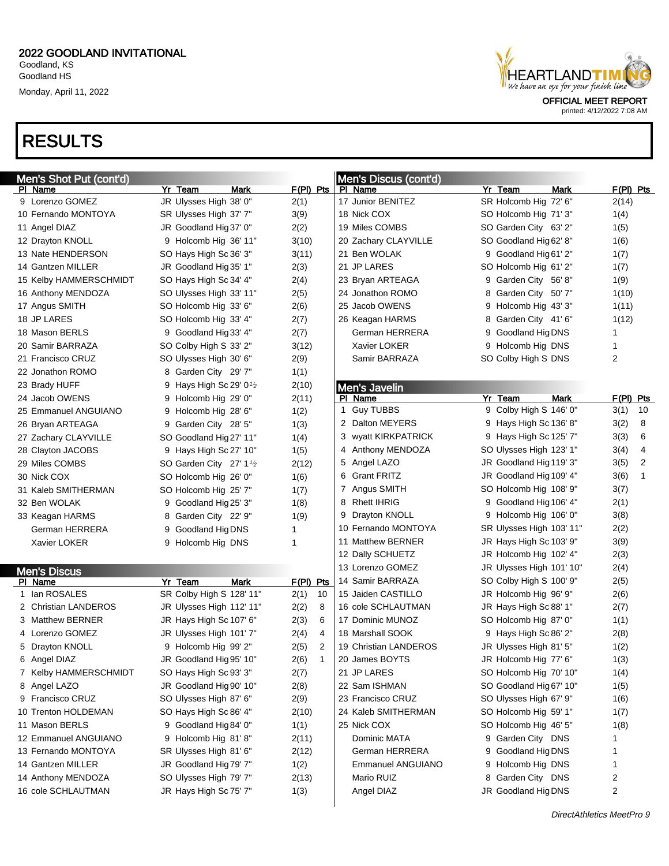# RESULTS



| Men's Shot Put (cont'd) |                                      |             | Men's Discus (cont'd)    |                          |                        |
|-------------------------|--------------------------------------|-------------|--------------------------|--------------------------|------------------------|
| PI Name                 | Yr Team<br>Mark                      | $F(PI)$ Pts | PI Name                  | Yr Team<br>Mark          | $F(PI)$ Pts            |
| 9 Lorenzo GOMEZ         | JR Ulysses High 38' 0"               | 2(1)        | 17 Junior BENITEZ        | SR Holcomb Hig 72' 6"    | 2(14)                  |
| 10 Fernando MONTOYA     | SR Ulysses High 37' 7"               | 3(9)        | 18 Nick COX              | SO Holcomb Hig 71' 3"    | 1(4)                   |
| 11 Angel DIAZ           | JR Goodland Hig 37' 0"               | 2(2)        | 19 Miles COMBS           | SO Garden City 63' 2"    | 1(5)                   |
| 12 Drayton KNOLL        | 9 Holcomb Hig 36' 11"                | 3(10)       | 20 Zachary CLAYVILLE     | SO Goodland Hig 62' 8"   | 1(6)                   |
| 13 Nate HENDERSON       | SO Hays High Sc 36' 3"               | 3(11)       | 21 Ben WOLAK             | 9 Goodland Hig 61' 2"    | 1(7)                   |
| 14 Gantzen MILLER       | JR Goodland Hig 35' 1"               | 2(3)        | 21 JP LARES              | SO Holcomb Hig 61' 2"    | 1(7)                   |
| 15 Kelby HAMMERSCHMIDT  | SO Hays High Sc 34' 4"               | 2(4)        | 23 Bryan ARTEAGA         | 9 Garden City 56'8"      | 1(9)                   |
| 16 Anthony MENDOZA      | SO Ulysses High 33' 11"              | 2(5)        | 24 Jonathon ROMO         | 8 Garden City 50' 7"     | 1(10)                  |
| 17 Angus SMITH          | SO Holcomb Hig 33' 6"                | 2(6)        | 25 Jacob OWENS           | 9 Holcomb Hig 43' 3"     | 1(11)                  |
| 18 JP LARES             | SO Holcomb Hig 33' 4"                | 2(7)        | 26 Keagan HARMS          | 8 Garden City 41' 6"     | 1(12)                  |
| 18 Mason BERLS          | 9 Goodland Hig 33' 4"                | 2(7)        | German HERRERA           | 9 Goodland Hig DNS       | 1                      |
| 20 Samir BARRAZA        | SO Colby High S 33' 2"               | 3(12)       | Xavier LOKER             | 9 Holcomb Hig DNS        | 1                      |
| 21 Francisco CRUZ       | SO Ulysses High 30' 6"               | 2(9)        | Samir BARRAZA            | SO Colby High S DNS      | 2                      |
| 22 Jonathon ROMO        | 8 Garden City 29' 7"                 | 1(1)        |                          |                          |                        |
| 23 Brady HUFF           | 9 Hays High Sc 29' $0\frac{1}{2}$    | 2(10)       | <b>Men's Javelin</b>     |                          |                        |
| 24 Jacob OWENS          | 9 Holcomb Hig 29' 0"                 | 2(11)       | PI Name                  | Yr Team<br><b>Mark</b>   | $F(PI)$ Pts            |
| 25 Emmanuel ANGUIANO    | 9 Holcomb Hig 28' 6"                 | 1(2)        | 1 Guy TUBBS              | 9 Colby High S 146' 0"   | 3(1)<br>10             |
| 26 Bryan ARTEAGA        | 9 Garden City 28' 5"                 | 1(3)        | 2 Dalton MEYERS          | 9 Hays High Sc 136' 8"   | 3(2)<br>8              |
| 27 Zachary CLAYVILLE    | SO Goodland Hig27' 11"               | 1(4)        | 3 wyatt KIRKPATRICK      | 9 Hays High Sc 125' 7"   | 3(3)<br>6              |
| 28 Clayton JACOBS       | 9 Hays High Sc 27' 10"               | 1(5)        | 4 Anthony MENDOZA        | SO Ulysses High 123' 1"  | 3(4)<br>4              |
| 29 Miles COMBS          | SO Garden City 27' 1 <sup>1</sup> /2 | 2(12)       | 5 Angel LAZO             | JR Goodland Hig 119' 3"  | $\overline{2}$<br>3(5) |
| 30 Nick COX             | SO Holcomb Hig 26' 0"                | 1(6)        | 6 Grant FRITZ            | JR Goodland Hig 109' 4"  | 1<br>3(6)              |
| 31 Kaleb SMITHERMAN     | SO Holcomb Hig 25' 7"                | 1(7)        | 7 Angus SMITH            | SO Holcomb Hig 108' 9"   | 3(7)                   |
| 32 Ben WOLAK            | 9 Goodland Hig 25' 3"                | 1(8)        | 8 Rhett IHRIG            | 9 Goodland Hig 106' 4"   | 2(1)                   |
| 33 Keagan HARMS         | Garden City 22' 9"<br>8              | 1(9)        | 9 Drayton KNOLL          | 9 Holcomb Hig 106' 0"    | 3(8)                   |
| German HERRERA          | Goodland Hig DNS<br>9                | 1           | 10 Fernando MONTOYA      | SR Ulysses High 103' 11" | 2(2)                   |
| Xavier LOKER            | 9 Holcomb Hig DNS                    | 1           | 11 Matthew BERNER        | JR Hays High Sc 103' 9"  | 3(9)                   |
|                         |                                      |             | 12 Dally SCHUETZ         | JR Holcomb Hig 102' 4"   | 2(3)                   |
| <b>Men's Discus</b>     |                                      |             | 13 Lorenzo GOMEZ         | JR Ulysses High 101' 10" | 2(4)                   |
| PI Name                 | <b>Mark</b><br>Yr Team               | $F(PI)$ Pts | 14 Samir BARRAZA         | SO Colby High S 100' 9"  | 2(5)                   |
| 1 Ian ROSALES           | SR Colby High S 128' 11"             | 2(1)<br>10  | 15 Jaiden CASTILLO       | JR Holcomb Hig 96' 9"    | 2(6)                   |
| 2 Christian LANDEROS    | JR Ulysses High 112' 11"             | 2(2)<br>8   | 16 cole SCHLAUTMAN       | JR Hays High Sc 88' 1"   | 2(7)                   |
| 3 Matthew BERNER        | JR Hays High Sc 107' 6"              | 2(3)<br>6   | 17 Dominic MUNOZ         | SO Holcomb Hig 87' 0"    | 1(1)                   |
| 4 Lorenzo GOMEZ         | JR Ulysses High 101' 7"              | 2(4)<br>4   | 18 Marshall SOOK         | 9 Hays High Sc 86' 2"    | 2(8)                   |
| 5 Drayton KNOLL         | 9 Holcomb Hig 99' 2"                 | 2(5)<br>2   | 19 Christian LANDEROS    | JR Ulysses High 81' 5"   | 1(2)                   |
| 6 Angel DIAZ            | JR Goodland Hig 95' 10"              | 2(6)<br>1   | 20 James BOYTS           | JR Holcomb Hig 77' 6"    | 1(3)                   |
| 7 Kelby HAMMERSCHMIDT   | SO Hays High Sc 93' 3"               | 2(7)        | 21 JP LARES              | SO Holcomb Hig 70' 10"   | 1(4)                   |
| 8 Angel LAZO            | JR Goodland Hig 90' 10"              | 2(8)        | 22 Sam ISHMAN            | SO Goodland Hig 67' 10"  | 1(5)                   |
| 9 Francisco CRUZ        | SO Ulysses High 87' 6"               | 2(9)        | 23 Francisco CRUZ        | SO Ulysses High 67' 9"   | 1(6)                   |
| 10 Trenton HOLDEMAN     | SO Hays High Sc 86' 4"               | 2(10)       | 24 Kaleb SMITHERMAN      | SO Holcomb Hig 59' 1"    | 1(7)                   |
| 11 Mason BERLS          | 9 Goodland Hig 84' 0"                | 1(1)        | 25 Nick COX              | SO Holcomb Hig 46' 5"    | 1(8)                   |
| 12 Emmanuel ANGUIANO    | 9 Holcomb Hig 81'8"                  | 2(11)       | Dominic MATA             | 9 Garden City DNS        | 1                      |
| 13 Fernando MONTOYA     | SR Ulysses High 81' 6"               | 2(12)       | German HERRERA           | 9 Goodland Hig DNS       | 1                      |
| 14 Gantzen MILLER       | JR Goodland Hig 79' 7"               | 1(2)        | <b>Emmanuel ANGUIANO</b> | 9 Holcomb Hig DNS        | 1                      |
| 14 Anthony MENDOZA      | SO Ulysses High 79' 7"               | 2(13)       | Mario RUIZ               | 8 Garden City DNS        | 2                      |
| 16 cole SCHLAUTMAN      | JR Hays High Sc 75' 7"               | 1(3)        | Angel DIAZ               | JR Goodland Hig DNS      | 2                      |
|                         |                                      |             |                          |                          |                        |